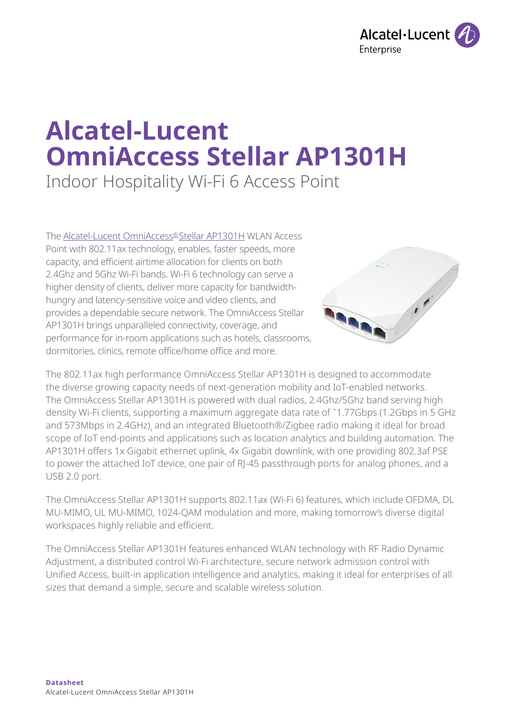

# **Alcatel-Lucent OmniAccess Stellar AP1301H**

Indoor Hospitality Wi-Fi 6 Access Point

The [Alcatel-Lucent OmniAccess® Stellar AP1301H](http://Alcatel-Lucent OmniAccess Stellar AP1301H) WLAN Access Point with 802.11ax technology, enables, faster speeds, more capacity, and efficient airtime allocation for clients on both 2.4Ghz and 5Ghz Wi-Fi bands. Wi-Fi 6 technology can serve a higher density of clients, deliver more capacity for bandwidthhungry and latency-sensitive voice and video clients, and provides a dependable secure network. The OmniAccess Stellar AP1301H brings unparalleled connectivity, coverage, and performance for in-room applications such as hotels, classrooms, dormitories, clinics, remote office/home office and more.



The 802.11ax high performance OmniAccess Stellar AP1301H is designed to accommodate the diverse growing capacity needs of next-generation mobility and IoT-enabled networks. The OmniAccess Stellar AP1301H is powered with dual radios, 2.4Ghz/5Ghz band serving high density Wi-Fi clients, supporting a maximum aggregate data rate of ˜1.77Gbps (1.2Gbps in 5 GHz and 573Mbps in 2.4GHz)¸ and an integrated Bluetooth®/Zigbee radio making it ideal for broad scope of IoT end-points and applications such as location analytics and building automation. The AP1301H offers 1x Gigabit ethernet uplink, 4x Gigabit downlink, with one providing 802.3af PSE to power the attached IoT device, one pair of RJ-45 passthrough ports for analog phones, and a USB 2.0 port.

The OmniAccess Stellar AP1301H supports 802.11ax (Wi-Fi 6) features, which include OFDMA, DL MU-MIMO, UL MU-MIMO, 1024-QAM modulation and more, making tomorrow's diverse digital workspaces highly reliable and efficient.

The OmniAccess Stellar AP1301H features enhanced WLAN technology with RF Radio Dynamic Adjustment, a distributed control Wi-Fi architecture, secure network admission control with Unified Access, built-in application intelligence and analytics, making it ideal for enterprises of all sizes that demand a simple, secure and scalable wireless solution.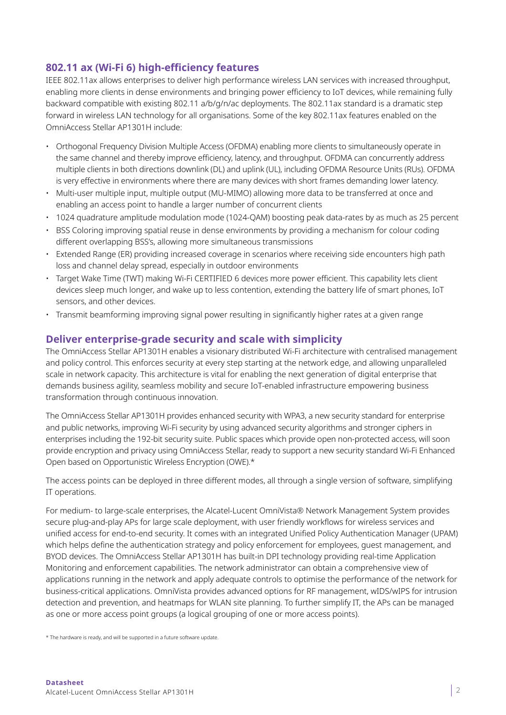# **802.11 ax (Wi-Fi 6) high-efficiency features**

IEEE 802.11ax allows enterprises to deliver high performance wireless LAN services with increased throughput, enabling more clients in dense environments and bringing power efficiency to IoT devices, while remaining fully backward compatible with existing 802.11 a/b/g/n/ac deployments. The 802.11ax standard is a dramatic step forward in wireless LAN technology for all organisations. Some of the key 802.11ax features enabled on the OmniAccess Stellar AP1301H include:

- Orthogonal Frequency Division Multiple Access (OFDMA) enabling more clients to simultaneously operate in the same channel and thereby improve efficiency, latency, and throughput. OFDMA can concurrently address multiple clients in both directions downlink (DL) and uplink (UL), including OFDMA Resource Units (RUs). OFDMA is very effective in environments where there are many devices with short frames demanding lower latency.
- Multi-user multiple input, multiple output (MU-MIMO) allowing more data to be transferred at once and enabling an access point to handle a larger number of concurrent clients
- 1024 quadrature amplitude modulation mode (1024-QAM) boosting peak data-rates by as much as 25 percent
- BSS Coloring improving spatial reuse in dense environments by providing a mechanism for colour coding different overlapping BSS's, allowing more simultaneous transmissions
- Extended Range (ER) providing increased coverage in scenarios where receiving side encounters high path loss and channel delay spread, especially in outdoor environments
- Target Wake Time (TWT) making Wi-Fi CERTIFIED 6 devices more power efficient. This capability lets client devices sleep much longer, and wake up to less contention, extending the battery life of smart phones, IoT sensors, and other devices.
- Transmit beamforming improving signal power resulting in significantly higher rates at a given range

## **Deliver enterprise-grade security and scale with simplicity**

The OmniAccess Stellar AP1301H enables a visionary distributed Wi-Fi architecture with centralised management and policy control. This enforces security at every step starting at the network edge, and allowing unparalleled scale in network capacity. This architecture is vital for enabling the next generation of digital enterprise that demands business agility, seamless mobility and secure IoT-enabled infrastructure empowering business transformation through continuous innovation.

The OmniAccess Stellar AP1301H provides enhanced security with WPA3, a new security standard for enterprise and public networks, improving Wi-Fi security by using advanced security algorithms and stronger ciphers in enterprises including the 192-bit security suite. Public spaces which provide open non-protected access, will soon provide encryption and privacy using OmniAccess Stellar, ready to support a new security standard Wi-Fi Enhanced Open based on Opportunistic Wireless Encryption (OWE).\*

The access points can be deployed in three different modes, all through a single version of software, simplifying IT operations.

For medium- to large-scale enterprises, the Alcatel-Lucent OmniVista® Network Management System provides secure plug-and-play APs for large scale deployment, with user friendly workflows for wireless services and unified access for end-to-end security. It comes with an integrated Unified Policy Authentication Manager (UPAM) which helps define the authentication strategy and policy enforcement for employees, guest management, and BYOD devices. The OmniAccess Stellar AP1301H has built-in DPI technology providing real-time Application Monitoring and enforcement capabilities. The network administrator can obtain a comprehensive view of applications running in the network and apply adequate controls to optimise the performance of the network for business-critical applications. OmniVista provides advanced options for RF management, wIDS/wIPS for intrusion detection and prevention, and heatmaps for WLAN site planning. To further simplify IT, the APs can be managed as one or more access point groups (a logical grouping of one or more access points).

\* The hardware is ready, and will be supported in a future software update.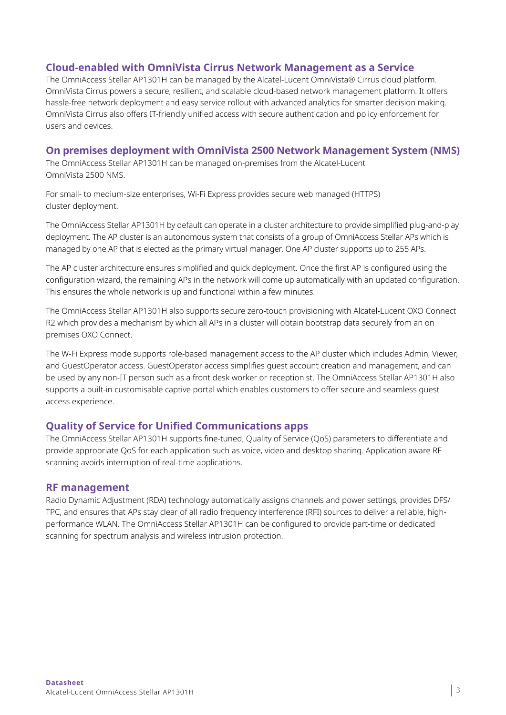## **Cloud-enabled with OmniVista Cirrus Network Management as a Service**

The OmniAccess Stellar AP1301H can be managed by the Alcatel-Lucent OmniVista® Cirrus cloud platform. OmniVista Cirrus powers a secure, resilient, and scalable cloud-based network management platform. It offers hassle-free network deployment and easy service rollout with advanced analytics for smarter decision making. OmniVista Cirrus also offers IT-friendly unified access with secure authentication and policy enforcement for users and devices.

#### **On premises deployment with OmniVista 2500 Network Management System (NMS)**

The OmniAccess Stellar AP1301H can be managed on-premises from the Alcatel-Lucent OmniVista 2500 NMS.

For small- to medium-size enterprises, Wi-Fi Express provides secure web managed (HTTPS) cluster deployment.

The OmniAccess Stellar AP1301H by default can operate in a cluster architecture to provide simplified plug-and-play deployment. The AP cluster is an autonomous system that consists of a group of OmniAccess Stellar APs which is managed by one AP that is elected as the primary virtual manager. One AP cluster supports up to 255 APs.

The AP cluster architecture ensures simplified and quick deployment. Once the first AP is configured using the configuration wizard, the remaining APs in the network will come up automatically with an updated configuration. This ensures the whole network is up and functional within a few minutes.

The OmniAccess Stellar AP1301H also supports secure zero-touch provisioning with Alcatel-Lucent OXO Connect R2 which provides a mechanism by which all APs in a cluster will obtain bootstrap data securely from an on premises OXO Connect.

The W-Fi Express mode supports role-based management access to the AP cluster which includes Admin, Viewer, and GuestOperator access. GuestOperator access simplifies guest account creation and management, and can be used by any non-IT person such as a front desk worker or receptionist. The OmniAccess Stellar AP1301H also supports a built-in customisable captive portal which enables customers to offer secure and seamless guest access experience.

# **Quality of Service for Unified Communications apps**

The OmniAccess Stellar AP1301H supports fine-tuned, Quality of Service (QoS) parameters to differentiate and provide appropriate QoS for each application such as voice, video and desktop sharing. Application aware RF scanning avoids interruption of real-time applications.

#### **RF management**

Radio Dynamic Adjustment (RDA) technology automatically assigns channels and power settings, provides DFS/ TPC, and ensures that APs stay clear of all radio frequency interference (RFI) sources to deliver a reliable, highperformance WLAN. The OmniAccess Stellar AP1301H can be configured to provide part-time or dedicated scanning for spectrum analysis and wireless intrusion protection.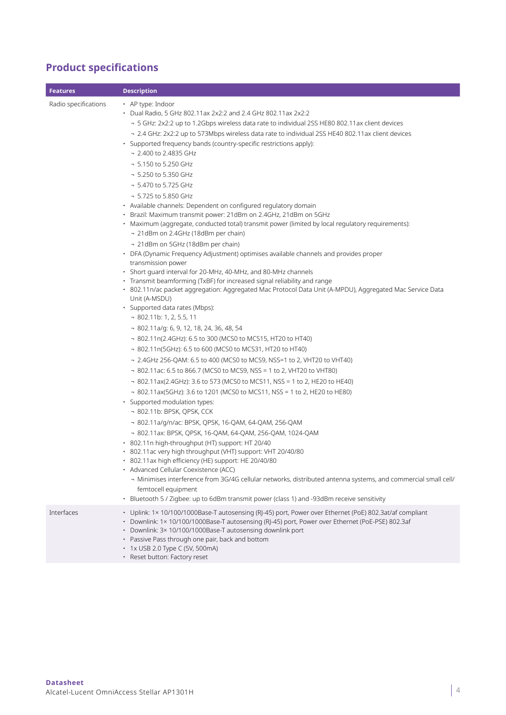# **Product specifications**

| <b>Features</b>      | <b>Description</b>                                                                                                                                                                                                                                                                                                                                                                                                                                                                                                                                                                                                                                                                                                                                                                                                                                                                                                                                                                                                                                                                                                                                                                                                                                                                                                                                                                                                                                                                                                                                                                                                                                                                                                                                                                                                                                                                                                                                                                                                                                                                                                                                                                                                                                                                                                                                                                                                   |
|----------------------|----------------------------------------------------------------------------------------------------------------------------------------------------------------------------------------------------------------------------------------------------------------------------------------------------------------------------------------------------------------------------------------------------------------------------------------------------------------------------------------------------------------------------------------------------------------------------------------------------------------------------------------------------------------------------------------------------------------------------------------------------------------------------------------------------------------------------------------------------------------------------------------------------------------------------------------------------------------------------------------------------------------------------------------------------------------------------------------------------------------------------------------------------------------------------------------------------------------------------------------------------------------------------------------------------------------------------------------------------------------------------------------------------------------------------------------------------------------------------------------------------------------------------------------------------------------------------------------------------------------------------------------------------------------------------------------------------------------------------------------------------------------------------------------------------------------------------------------------------------------------------------------------------------------------------------------------------------------------------------------------------------------------------------------------------------------------------------------------------------------------------------------------------------------------------------------------------------------------------------------------------------------------------------------------------------------------------------------------------------------------------------------------------------------------|
| Radio specifications | • AP type: Indoor<br>• Dual Radio, 5 GHz 802.11ax 2x2:2 and 2.4 GHz 802.11ax 2x2:2<br>→ 5 GHz: 2x2:2 up to 1.2Gbps wireless data rate to individual 2SS HE80 802.11ax client devices<br>- 2.4 GHz: 2x2:2 up to 573Mbps wireless data rate to individual 2SS HE40 802.11ax client devices<br>· Supported frequency bands (country-specific restrictions apply):<br>- 2.400 to 2.4835 GHz<br>$-5.150$ to 5.250 GHz<br>$-5.250$ to 5.350 GHz<br>- 5.470 to 5.725 GHz<br>- 5.725 to 5.850 GHz<br>• Available channels: Dependent on configured regulatory domain<br>· Brazil: Maximum transmit power: 21dBm on 2.4GHz, 21dBm on 5GHz<br>· Maximum (aggregate, conducted total) transmit power (limited by local regulatory requirements):<br>- 21dBm on 2.4GHz (18dBm per chain)<br>- 21dBm on 5GHz (18dBm per chain)<br>• DFA (Dynamic Frequency Adjustment) optimises available channels and provides proper<br>transmission power<br>· Short quard interval for 20-MHz, 40-MHz, and 80-MHz channels<br>• Transmit beamforming (TxBF) for increased signal reliability and range<br>· 802.11n/ac packet aggregation: Aggregated Mac Protocol Data Unit (A-MPDU), Aggregated Mac Service Data<br>Unit (A-MSDU)<br>· Supported data rates (Mbps):<br>$-802.11b: 1, 2, 5.5, 11$<br>$-802.11a/q$ : 6, 9, 12, 18, 24, 36, 48, 54<br>- 802.11n(2.4GHz): 6.5 to 300 (MCS0 to MCS15, HT20 to HT40)<br>- 802.11n(5GHz): 6.5 to 600 (MCS0 to MCS31, HT20 to HT40)<br>- 2.4GHz 256-QAM: 6.5 to 400 (MCS0 to MCS9, NSS=1 to 2, VHT20 to VHT40)<br>- 802.11ac: 6.5 to 866.7 (MCS0 to MCS9, NSS = 1 to 2, VHT20 to VHT80)<br>- 802.11ax(2.4GHz): 3.6 to 573 (MCS0 to MCS11, NSS = 1 to 2, HE20 to HE40)<br>- 802.11ax(5GHz): 3.6 to 1201 (MCS0 to MCS11, NSS = 1 to 2, HE20 to HE80)<br>· Supported modulation types:<br>- 802.11b: BPSK, QPSK, CCK<br>- 802.11a/q/n/ac: BPSK, QPSK, 16-QAM, 64-QAM, 256-QAM<br>- 802.11ax: BPSK, QPSK, 16-QAM, 64-QAM, 256-QAM, 1024-QAM<br>· 802.11n high-throughput (HT) support: HT 20/40<br>· 802.11ac very high throughput (VHT) support: VHT 20/40/80<br>· 802.11ax high efficiency (HE) support: HE 20/40/80<br>• Advanced Cellular Coexistence (ACC)<br>- Minimises interference from 3G/4G cellular networks, distributed antenna systems, and commercial small cell/<br>femtocell equipment<br>· Bluetooth 5 / Zigbee: up to 6dBm transmit power (class 1) and -93dBm receive sensitivity |
| Interfaces           | · Uplink: 1× 10/100/1000Base-T autosensing (RJ-45) port, Power over Ethernet (PoE) 802.3at/af compliant<br>· Downlink: 1× 10/100/1000Base-T autosensing (RJ-45) port, Power over Ethernet (PoE-PSE) 802.3af<br>• Downlink: 3× 10/100/1000Base-T autosensing downlink port<br>• Passive Pass through one pair, back and bottom<br>• 1x USB 2.0 Type C (5V, 500mA)<br>· Reset button: Factory reset                                                                                                                                                                                                                                                                                                                                                                                                                                                                                                                                                                                                                                                                                                                                                                                                                                                                                                                                                                                                                                                                                                                                                                                                                                                                                                                                                                                                                                                                                                                                                                                                                                                                                                                                                                                                                                                                                                                                                                                                                    |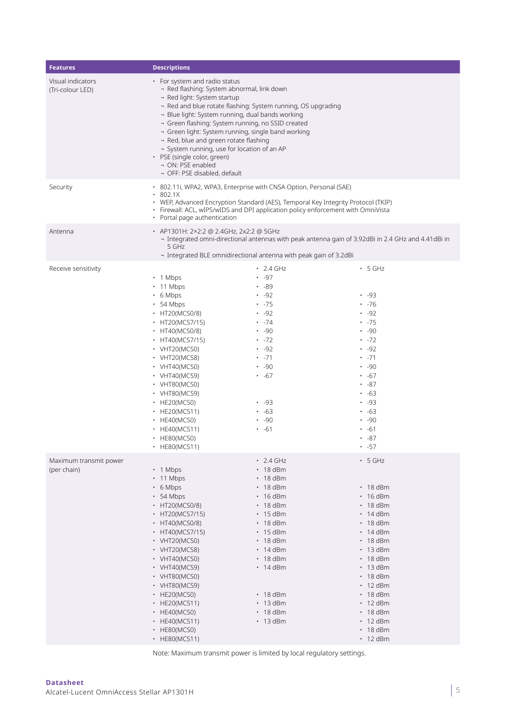| <b>Features</b>                       | <b>Descriptions</b>                                                                                                                                                                                                                                                                                                                                                                                                                                                                                                   |                                                                                                                                                                                                                                                                                                                 |                                                                                                                                                                                                                                                                                                                                              |
|---------------------------------------|-----------------------------------------------------------------------------------------------------------------------------------------------------------------------------------------------------------------------------------------------------------------------------------------------------------------------------------------------------------------------------------------------------------------------------------------------------------------------------------------------------------------------|-----------------------------------------------------------------------------------------------------------------------------------------------------------------------------------------------------------------------------------------------------------------------------------------------------------------|----------------------------------------------------------------------------------------------------------------------------------------------------------------------------------------------------------------------------------------------------------------------------------------------------------------------------------------------|
| Visual indicators<br>(Tri-colour LED) | • For system and radio status<br>- Red flashing: System abnormal, link down<br>- Red light: System startup<br>- Red and blue rotate flashing: System running, OS upgrading<br>- Blue light: System running, dual bands working<br>- Green flashing: System running, no SSID created<br>- Green light: System running, single band working<br>- Red, blue and green rotate flashing<br>- System running, use for location of an AP<br>• PSE (single color, green)<br>- ON: PSE enabled<br>- OFF: PSE disabled, default |                                                                                                                                                                                                                                                                                                                 |                                                                                                                                                                                                                                                                                                                                              |
| Security                              | $\cdot$ 802.1X<br>• Portal page authentication                                                                                                                                                                                                                                                                                                                                                                                                                                                                        | · 802.11i, WPA2, WPA3, Enterprise with CNSA Option, Personal (SAE)<br>• WEP, Advanced Encryption Standard (AES), Temporal Key Integrity Protocol (TKIP)<br>• Firewall: ACL, wIPS/wIDS and DPI application policy enforcement with OmniVista                                                                     |                                                                                                                                                                                                                                                                                                                                              |
| Antenna                               | • AP1301H: 2×2:2 @ 2.4GHz, 2x2:2 @ 5GHz<br>5 GHz                                                                                                                                                                                                                                                                                                                                                                                                                                                                      | - Integrated omni-directional antennas with peak antenna gain of 3.92dBi in 2.4 GHz and 4.41dBi in<br>- Integrated BLE omnidirectional antenna with peak gain of 3.2dBi                                                                                                                                         |                                                                                                                                                                                                                                                                                                                                              |
| Receive sensitivity                   | $\cdot$ 1 Mbps<br>$\cdot$ 11 Mbps<br>$\cdot$ 6 Mbps<br>$\cdot$ 54 Mbps<br>• HT20(MCS0/8)<br>• HT20(MCS7/15)<br>$\cdot$ HT40(MCS0/8)<br>• HT40(MCS7/15)<br>• $VHT20(MCS0)$<br>$\cdot$ VHT20(MCS8)<br>$\cdot$ VHT40(MCS0)<br>$\cdot$ VHT40(MCS9)<br>$\cdot$ VHT80(MCS0)<br>$\cdot$ VHT80(MCS9)<br>$\cdot$ HE20(MCS0)<br>$\cdot$ HE20(MCS11)<br>$\cdot$ HE40(MCS0)<br>$\cdot$ HE40(MCS11)<br>$\cdot$ HE80(MCS0)<br>• HE80(MCS11)                                                                                         | $\cdot$ 2.4 GHz<br>$-97$<br>.89<br>$-92$<br>$\cdot$ -75<br>$-92$<br>$\cdot$ -74<br>.90<br>$\cdot$ -72<br>$-92$<br>$\cdot$ -71<br>.90<br>$\cdot$ -67<br>$-93$<br>$\cdot$ -63<br>.90<br>$\cdot$ -61                                                                                                               | $\cdot$ 5 GHz<br>$-93$<br>$\cdot$ -76<br>$-92$<br>$\cdot$ -75<br>.90<br>$\cdot$ -72<br>$-92$<br>$\cdot$ -71<br>.90<br>$\cdot$ -67<br>$\cdot$ -87<br>$\cdot$ -63<br>.93<br>$\cdot$ -63<br>.90<br>$\cdot$ -61<br>$-87$<br>$\cdot$ -57                                                                                                          |
| Maximum transmit power<br>(per chain) | $\cdot$ 1 Mbps<br>$\cdot$ 11 Mbps<br>$\cdot$ 6 Mbps<br>$\cdot$ 54 Mbps<br>• HT20(MCS0/8)<br>• HT20(MCS7/15)<br>$\cdot$ HT40(MCS0/8)<br>• HT40(MCS7/15)<br>$\cdot$ VHT20(MCS0)<br>$\cdot$ VHT20(MCS8)<br>$\cdot$ VHT40(MCS0)<br>• VHT40(MCS9)<br>$\cdot$ VHT80(MCS0)<br>• VHT80(MCS9)<br>$\cdot$ HE20(MCS0)<br>• HE20(MCS11)<br>$\cdot$ HE40(MCS0)<br>• HE40(MCS11)<br>• HE80(MCS0)<br>• HE80(MCS11)                                                                                                                   | $\cdot$ 2.4 GHz<br>$\cdot$ 18 dBm<br>$\cdot$ 18 dBm<br>$\cdot$ 18 dBm<br>$\cdot$ 16 dBm<br>$\cdot$ 18 dBm<br>$\cdot$ 15 dBm<br>$\cdot$ 18 dBm<br>$\cdot$ 15 dBm<br>$\cdot$ 18 dBm<br>$\cdot$ 14 dBm<br>$\cdot$ 18 dBm<br>$\cdot$ 14 dBm<br>$\cdot$ 18 dBm<br>$\cdot$ 13 dBm<br>$\cdot$ 18 dBm<br>$\cdot$ 13 dBm | $-5$ GHz<br>$\cdot$ 18 dBm<br>$\cdot$ 16 dBm<br>$\cdot$ 18 dBm<br>$\cdot$ 14 dBm<br>$\cdot$ 18 dBm<br>$\cdot$ 14 dBm<br>$\cdot$ 18 dBm<br>$\cdot$ 13 dBm<br>$\cdot$ 18 dBm<br>$\cdot$ 13 dBm<br>$\cdot$ 18 dBm<br>$\cdot$ 12 dBm<br>$\cdot$ 18 dBm<br>$\cdot$ 12 dBm<br>$\cdot$ 18 dBm<br>$\cdot$ 12 dBm<br>$\cdot$ 18 dBm<br>$\cdot$ 12 dBm |

Note: Maximum transmit power is limited by local regulatory settings.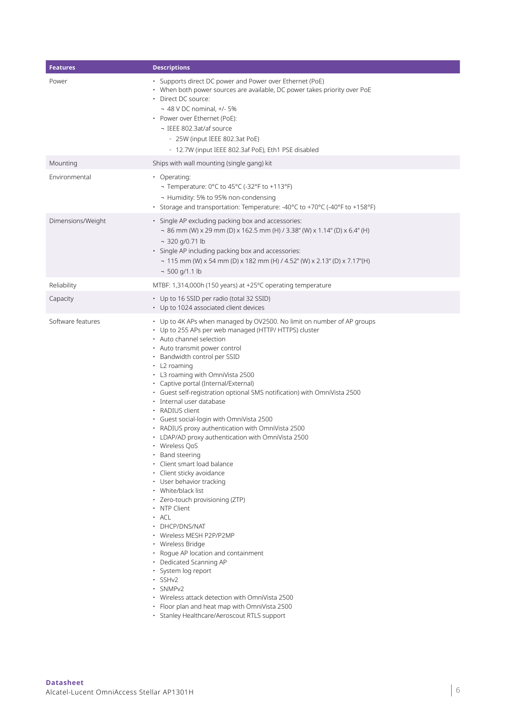| <b>Features</b>   | <b>Descriptions</b>                                                                                                                                                                                                                                                                                                                                                                                                                                                                                                                                                                                                                                                                                                                                                                                                                                                                                                                                                                                                                                                                                                                                                         |
|-------------------|-----------------------------------------------------------------------------------------------------------------------------------------------------------------------------------------------------------------------------------------------------------------------------------------------------------------------------------------------------------------------------------------------------------------------------------------------------------------------------------------------------------------------------------------------------------------------------------------------------------------------------------------------------------------------------------------------------------------------------------------------------------------------------------------------------------------------------------------------------------------------------------------------------------------------------------------------------------------------------------------------------------------------------------------------------------------------------------------------------------------------------------------------------------------------------|
| Power             | · Supports direct DC power and Power over Ethernet (PoE)<br>• When both power sources are available, DC power takes priority over PoE<br>• Direct DC source:<br>$-48$ V DC nominal, $+/-5%$<br>• Power over Ethernet (PoE):<br>- IEEE 802.3at/af source<br>- 25W (input IEEE 802.3at PoE)<br>- 12.7W (input IEEE 802.3af PoE), Eth1 PSE disabled                                                                                                                                                                                                                                                                                                                                                                                                                                                                                                                                                                                                                                                                                                                                                                                                                            |
| Mounting          | Ships with wall mounting (single gang) kit                                                                                                                                                                                                                                                                                                                                                                                                                                                                                                                                                                                                                                                                                                                                                                                                                                                                                                                                                                                                                                                                                                                                  |
| Environmental     | • Operating:<br>¬ Temperature: 0°C to 45°C (-32°F to +113°F)<br>- Humidity: 5% to 95% non-condensing<br>• Storage and transportation: Temperature: -40°C to +70°C (-40°F to +158°F)                                                                                                                                                                                                                                                                                                                                                                                                                                                                                                                                                                                                                                                                                                                                                                                                                                                                                                                                                                                         |
| Dimensions/Weight | · Single AP excluding packing box and accessories:<br>$-$ 86 mm (W) x 29 mm (D) x 162.5 mm (H) / 3.38" (W) x 1.14" (D) x 6.4" (H)<br>- 320 g/0.71 lb<br>· Single AP including packing box and accessories:<br>$-115$ mm (W) x 54 mm (D) x 182 mm (H) / 4.52" (W) x 2.13" (D) x 7.17"(H)<br>$-500$ g/1.1 lb                                                                                                                                                                                                                                                                                                                                                                                                                                                                                                                                                                                                                                                                                                                                                                                                                                                                  |
| Reliability       | MTBF: 1,314,000h (150 years) at +25°C operating temperature                                                                                                                                                                                                                                                                                                                                                                                                                                                                                                                                                                                                                                                                                                                                                                                                                                                                                                                                                                                                                                                                                                                 |
| Capacity          | • Up to 16 SSID per radio (total 32 SSID)<br>• Up to 1024 associated client devices                                                                                                                                                                                                                                                                                                                                                                                                                                                                                                                                                                                                                                                                                                                                                                                                                                                                                                                                                                                                                                                                                         |
| Software features | • Up to 4K APs when managed by OV2500. No limit on number of AP groups<br>• Up to 255 APs per web managed (HTTP/ HTTPS) cluster<br>• Auto channel selection<br>• Auto transmit power control<br>• Bandwidth control per SSID<br>$\cdot$ L2 roaming<br>• L3 roaming with OmniVista 2500<br>· Captive portal (Internal/External)<br>• Guest self-registration optional SMS notification) with OmniVista 2500<br>· Internal user database<br>• RADIUS client<br>· Guest social-login with OmniVista 2500<br>• RADIUS proxy authentication with OmniVista 2500<br>• LDAP/AD proxy authentication with OmniVista 2500<br>• Wireless QoS<br>• Band steering<br>· Client smart load balance<br>· Client sticky avoidance<br>• User behavior tracking<br>• White/black list<br>· Zero-touch provisioning (ZTP)<br>• NTP Client<br>· ACL<br>• DHCP/DNS/NAT<br>• Wireless MESH P2P/P2MP<br>• Wireless Bridge<br>• Roque AP location and containment<br>• Dedicated Scanning AP<br>· System log report<br>$\cdot$ SSHv2<br>· SNMPv2<br>• Wireless attack detection with OmniVista 2500<br>• Floor plan and heat map with OmniVista 2500<br>· Stanley Healthcare/Aeroscout RTLS support |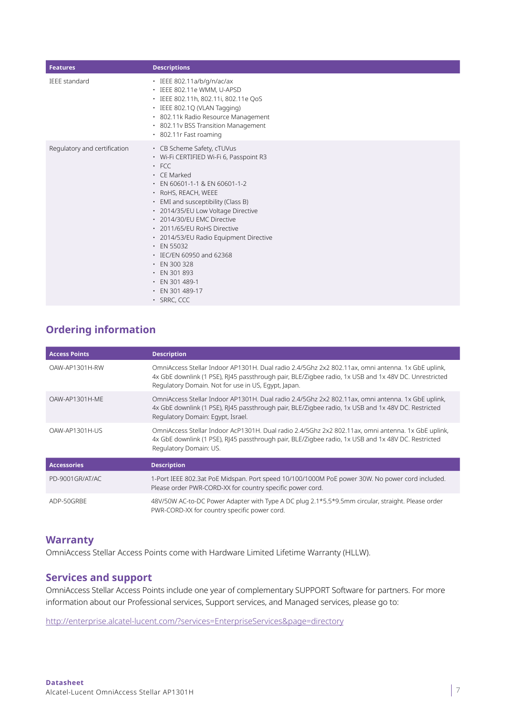| <b>Features</b>              | <b>Descriptions</b>                                                                                                                                                                                                                                                                                                                                                                                                                                                                                                |
|------------------------------|--------------------------------------------------------------------------------------------------------------------------------------------------------------------------------------------------------------------------------------------------------------------------------------------------------------------------------------------------------------------------------------------------------------------------------------------------------------------------------------------------------------------|
| <b>IFFE standard</b>         | · IEEE 802.11a/b/g/n/ac/ax<br>· IEEE 802.11e WMM, U-APSD<br>· IEEE 802.11h, 802.11i, 802.11e QoS<br>· IEEE 802.1Q (VLAN Tagging)<br>· 802.11k Radio Resource Management<br>• 802.11v BSS Transition Management<br>• 802.11r Fast roaming                                                                                                                                                                                                                                                                           |
| Regulatory and certification | • CB Scheme Safety, cTUVus<br>· Wi-Fi CERTIFIED Wi-Fi 6, Passpoint R3<br>$·$ FCC<br>$\cdot$ CE Marked<br>$\cdot$ EN 60601-1-1 & EN 60601-1-2<br>· RoHS, REACH, WEEE<br>• EMI and susceptibility (Class B)<br>· 2014/35/EU Low Voltage Directive<br>• 2014/30/EU EMC Directive<br>• 2011/65/EU RoHS Directive<br>· 2014/53/EU Radio Equipment Directive<br>$\cdot$ EN 55032<br>• IEC/EN 60950 and 62368<br>$\cdot$ EN 300 328<br>$\cdot$ EN 301 893<br>$\cdot$ EN 301 489-1<br>• EN 301 489-17<br>$\cdot$ SRRC, CCC |

# **Ordering information**

| <b>Access Points</b> | <b>Description</b>                                                                                                                                                                                                                                               |
|----------------------|------------------------------------------------------------------------------------------------------------------------------------------------------------------------------------------------------------------------------------------------------------------|
| OAW-AP1301H-RW       | OmniAccess Stellar Indoor AP1301H. Dual radio 2.4/5Ghz 2x2 802.11ax, omni antenna. 1x GbE uplink,<br>4x GbE downlink (1 PSE), RJ45 passthrough pair, BLE/Zigbee radio, 1x USB and 1x 48V DC. Unrestricted<br>Regulatory Domain. Not for use in US, Egypt, Japan. |
| OAW-AP1301H-ME       | OmniAccess Stellar Indoor AP1301H. Dual radio 2.4/5Ghz 2x2 802.11ax, omni antenna. 1x GbE uplink,<br>4x GbE downlink (1 PSE), RJ45 passthrough pair, BLE/Zigbee radio, 1x USB and 1x 48V DC. Restricted<br>Regulatory Domain: Egypt, Israel.                     |
| OAW-AP1301H-US       | OmniAccess Stellar Indoor AcP1301H. Dual radio 2.4/5Ghz 2x2 802.11ax, omni antenna. 1x GbE uplink,<br>4x GbE downlink (1 PSE), RJ45 passthrough pair, BLE/Zigbee radio, 1x USB and 1x 48V DC. Restricted<br>Regulatory Domain: US.                               |
| <b>Accessories</b>   | <b>Description</b>                                                                                                                                                                                                                                               |
| PD-9001GR/AT/AC      | 1-Port IEEE 802.3at PoE Midspan. Port speed 10/100/1000M PoE power 30W. No power cord included.<br>Please order PWR-CORD-XX for country specific power cord.                                                                                                     |
| ADP-50GRBE           | 48V/50W AC-to-DC Power Adapter with Type A DC plug 2.1*5.5*9.5mm circular, straight. Please order<br>PWR-CORD-XX for country specific power cord.                                                                                                                |

# **Warranty**

OmniAccess Stellar Access Points come with Hardware Limited Lifetime Warranty (HLLW).

# **Services and support**

OmniAccess Stellar Access Points include one year of complementary SUPPORT Software for partners. For more information about our Professional services, Support services, and Managed services, please go to:

<http://enterprise.alcatel-lucent.com/?services=EnterpriseServices&page=directory>